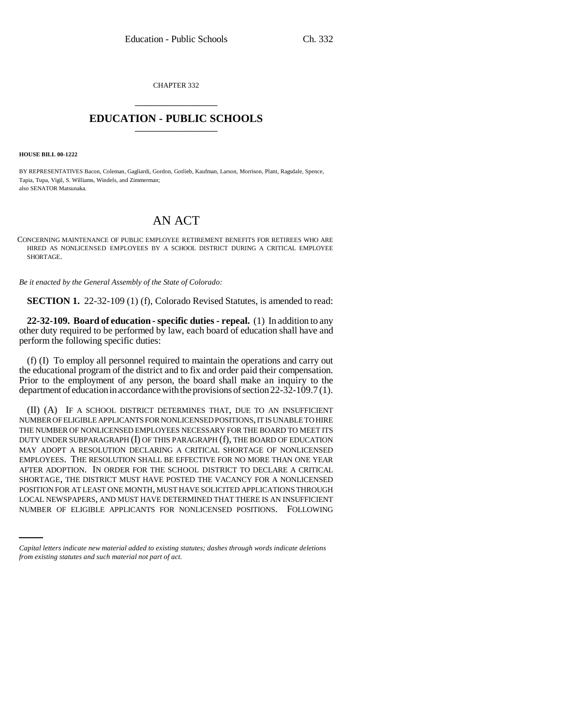CHAPTER 332 \_\_\_\_\_\_\_\_\_\_\_\_\_\_\_

## **EDUCATION - PUBLIC SCHOOLS** \_\_\_\_\_\_\_\_\_\_\_\_\_\_\_

**HOUSE BILL 00-1222** 

BY REPRESENTATIVES Bacon, Coleman, Gagliardi, Gordon, Gotlieb, Kaufman, Larson, Morrison, Plant, Ragsdale, Spence, Tapia, Tupa, Vigil, S. Williams, Windels, and Zimmerman; also SENATOR Matsunaka.

## AN ACT

CONCERNING MAINTENANCE OF PUBLIC EMPLOYEE RETIREMENT BENEFITS FOR RETIREES WHO ARE HIRED AS NONLICENSED EMPLOYEES BY A SCHOOL DISTRICT DURING A CRITICAL EMPLOYEE SHORTAGE.

*Be it enacted by the General Assembly of the State of Colorado:*

**SECTION 1.** 22-32-109 (1) (f), Colorado Revised Statutes, is amended to read:

**22-32-109. Board of education - specific duties - repeal.** (1) In addition to any other duty required to be performed by law, each board of education shall have and perform the following specific duties:

(f) (I) To employ all personnel required to maintain the operations and carry out the educational program of the district and to fix and order paid their compensation. Prior to the employment of any person, the board shall make an inquiry to the department of education in accordance with the provisions of section 22-32-109.7 (1).

POSITION FOR AT LEAST ONE MONTH, MUST HAVE SOLICITED APPLICATIONS THROUGH (II) (A) IF A SCHOOL DISTRICT DETERMINES THAT, DUE TO AN INSUFFICIENT NUMBER OF ELIGIBLE APPLICANTS FOR NONLICENSED POSITIONS, IT IS UNABLE TO HIRE THE NUMBER OF NONLICENSED EMPLOYEES NECESSARY FOR THE BOARD TO MEET ITS DUTY UNDER SUBPARAGRAPH (I) OF THIS PARAGRAPH (f), THE BOARD OF EDUCATION MAY ADOPT A RESOLUTION DECLARING A CRITICAL SHORTAGE OF NONLICENSED EMPLOYEES. THE RESOLUTION SHALL BE EFFECTIVE FOR NO MORE THAN ONE YEAR AFTER ADOPTION. IN ORDER FOR THE SCHOOL DISTRICT TO DECLARE A CRITICAL SHORTAGE, THE DISTRICT MUST HAVE POSTED THE VACANCY FOR A NONLICENSED LOCAL NEWSPAPERS, AND MUST HAVE DETERMINED THAT THERE IS AN INSUFFICIENT NUMBER OF ELIGIBLE APPLICANTS FOR NONLICENSED POSITIONS. FOLLOWING

*Capital letters indicate new material added to existing statutes; dashes through words indicate deletions from existing statutes and such material not part of act.*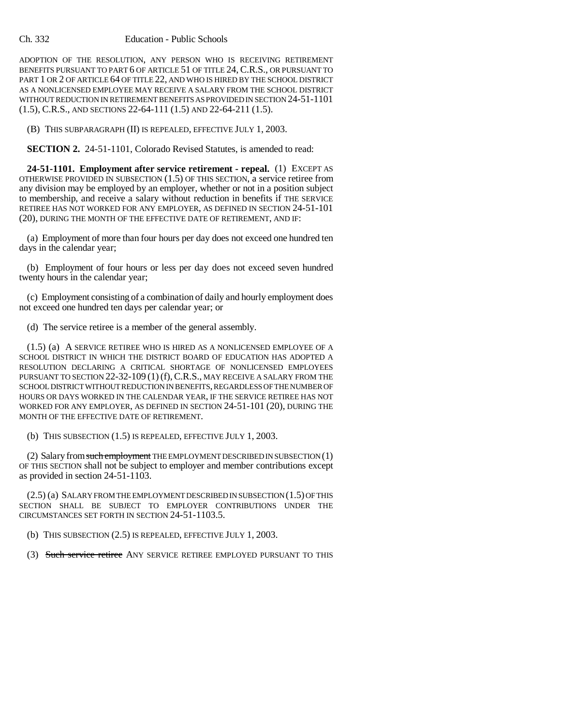## Ch. 332 Education - Public Schools

ADOPTION OF THE RESOLUTION, ANY PERSON WHO IS RECEIVING RETIREMENT BENEFITS PURSUANT TO PART 6 OF ARTICLE 51 OF TITLE 24, C.R.S., OR PURSUANT TO PART 1 OR 2 OF ARTICLE 64 OF TITLE 22, AND WHO IS HIRED BY THE SCHOOL DISTRICT AS A NONLICENSED EMPLOYEE MAY RECEIVE A SALARY FROM THE SCHOOL DISTRICT WITHOUT REDUCTION IN RETIREMENT BENEFITS AS PROVIDED IN SECTION 24-51-1101 (1.5), C.R.S., AND SECTIONS 22-64-111 (1.5) AND 22-64-211 (1.5).

(B) THIS SUBPARAGRAPH (II) IS REPEALED, EFFECTIVE JULY 1, 2003.

**SECTION 2.** 24-51-1101, Colorado Revised Statutes, is amended to read:

**24-51-1101. Employment after service retirement - repeal.** (1) EXCEPT AS OTHERWISE PROVIDED IN SUBSECTION (1.5) OF THIS SECTION, a service retiree from any division may be employed by an employer, whether or not in a position subject to membership, and receive a salary without reduction in benefits if THE SERVICE RETIREE HAS NOT WORKED FOR ANY EMPLOYER, AS DEFINED IN SECTION 24-51-101 (20), DURING THE MONTH OF THE EFFECTIVE DATE OF RETIREMENT, AND IF:

(a) Employment of more than four hours per day does not exceed one hundred ten days in the calendar year;

(b) Employment of four hours or less per day does not exceed seven hundred twenty hours in the calendar year;

(c) Employment consisting of a combination of daily and hourly employment does not exceed one hundred ten days per calendar year; or

(d) The service retiree is a member of the general assembly.

(1.5) (a) A SERVICE RETIREE WHO IS HIRED AS A NONLICENSED EMPLOYEE OF A SCHOOL DISTRICT IN WHICH THE DISTRICT BOARD OF EDUCATION HAS ADOPTED A RESOLUTION DECLARING A CRITICAL SHORTAGE OF NONLICENSED EMPLOYEES PURSUANT TO SECTION 22-32-109 (1) (f), C.R.S., MAY RECEIVE A SALARY FROM THE SCHOOL DISTRICT WITHOUT REDUCTION IN BENEFITS, REGARDLESS OF THE NUMBER OF HOURS OR DAYS WORKED IN THE CALENDAR YEAR, IF THE SERVICE RETIREE HAS NOT WORKED FOR ANY EMPLOYER, AS DEFINED IN SECTION 24-51-101 (20), DURING THE MONTH OF THE EFFECTIVE DATE OF RETIREMENT.

(b) THIS SUBSECTION (1.5) IS REPEALED, EFFECTIVE JULY 1, 2003.

(2) Salary from such employment THE EMPLOYMENT DESCRIBED IN SUBSECTION (1) OF THIS SECTION shall not be subject to employer and member contributions except as provided in section 24-51-1103.

(2.5) (a) SALARY FROM THE EMPLOYMENT DESCRIBED IN SUBSECTION (1.5) OF THIS SECTION SHALL BE SUBJECT TO EMPLOYER CONTRIBUTIONS UNDER THE CIRCUMSTANCES SET FORTH IN SECTION 24-51-1103.5.

(b) THIS SUBSECTION (2.5) IS REPEALED, EFFECTIVE JULY 1, 2003.

(3) Such service retiree ANY SERVICE RETIREE EMPLOYED PURSUANT TO THIS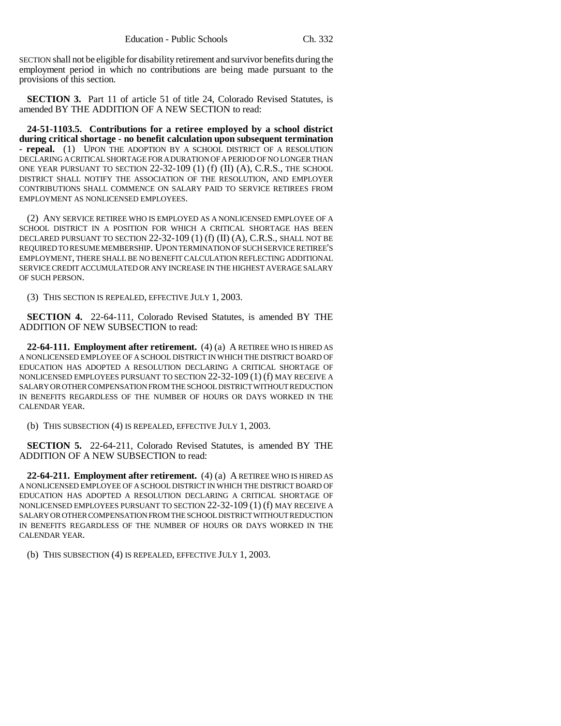SECTION shall not be eligible for disability retirement and survivor benefits during the employment period in which no contributions are being made pursuant to the provisions of this section.

**SECTION 3.** Part 11 of article 51 of title 24, Colorado Revised Statutes, is amended BY THE ADDITION OF A NEW SECTION to read:

**24-51-1103.5. Contributions for a retiree employed by a school district during critical shortage - no benefit calculation upon subsequent termination - repeal.** (1) UPON THE ADOPTION BY A SCHOOL DISTRICT OF A RESOLUTION DECLARING A CRITICAL SHORTAGE FOR A DURATION OF A PERIOD OF NO LONGER THAN ONE YEAR PURSUANT TO SECTION 22-32-109 (1) (f) (II) (A), C.R.S., THE SCHOOL DISTRICT SHALL NOTIFY THE ASSOCIATION OF THE RESOLUTION, AND EMPLOYER CONTRIBUTIONS SHALL COMMENCE ON SALARY PAID TO SERVICE RETIREES FROM EMPLOYMENT AS NONLICENSED EMPLOYEES.

(2) ANY SERVICE RETIREE WHO IS EMPLOYED AS A NONLICENSED EMPLOYEE OF A SCHOOL DISTRICT IN A POSITION FOR WHICH A CRITICAL SHORTAGE HAS BEEN DECLARED PURSUANT TO SECTION 22-32-109 (1) (f) (II) (A), C.R.S., SHALL NOT BE REQUIRED TO RESUME MEMBERSHIP. UPON TERMINATION OF SUCH SERVICE RETIREE'S EMPLOYMENT, THERE SHALL BE NO BENEFIT CALCULATION REFLECTING ADDITIONAL SERVICE CREDIT ACCUMULATED OR ANY INCREASE IN THE HIGHEST AVERAGE SALARY OF SUCH PERSON.

(3) THIS SECTION IS REPEALED, EFFECTIVE JULY 1, 2003.

**SECTION 4.** 22-64-111, Colorado Revised Statutes, is amended BY THE ADDITION OF NEW SUBSECTION to read:

**22-64-111. Employment after retirement.** (4) (a) A RETIREE WHO IS HIRED AS A NONLICENSED EMPLOYEE OF A SCHOOL DISTRICT IN WHICH THE DISTRICT BOARD OF EDUCATION HAS ADOPTED A RESOLUTION DECLARING A CRITICAL SHORTAGE OF NONLICENSED EMPLOYEES PURSUANT TO SECTION 22-32-109 (1) (f) MAY RECEIVE A SALARY OR OTHER COMPENSATION FROM THE SCHOOL DISTRICT WITHOUT REDUCTION IN BENEFITS REGARDLESS OF THE NUMBER OF HOURS OR DAYS WORKED IN THE CALENDAR YEAR.

(b) THIS SUBSECTION (4) IS REPEALED, EFFECTIVE JULY 1, 2003.

**SECTION 5.** 22-64-211, Colorado Revised Statutes, is amended BY THE ADDITION OF A NEW SUBSECTION to read:

**22-64-211. Employment after retirement.** (4) (a) A RETIREE WHO IS HIRED AS A NONLICENSED EMPLOYEE OF A SCHOOL DISTRICT IN WHICH THE DISTRICT BOARD OF EDUCATION HAS ADOPTED A RESOLUTION DECLARING A CRITICAL SHORTAGE OF NONLICENSED EMPLOYEES PURSUANT TO SECTION 22-32-109 (1) (f) MAY RECEIVE A SALARY OR OTHER COMPENSATION FROM THE SCHOOL DISTRICT WITHOUT REDUCTION IN BENEFITS REGARDLESS OF THE NUMBER OF HOURS OR DAYS WORKED IN THE CALENDAR YEAR.

(b) THIS SUBSECTION (4) IS REPEALED, EFFECTIVE JULY 1, 2003.